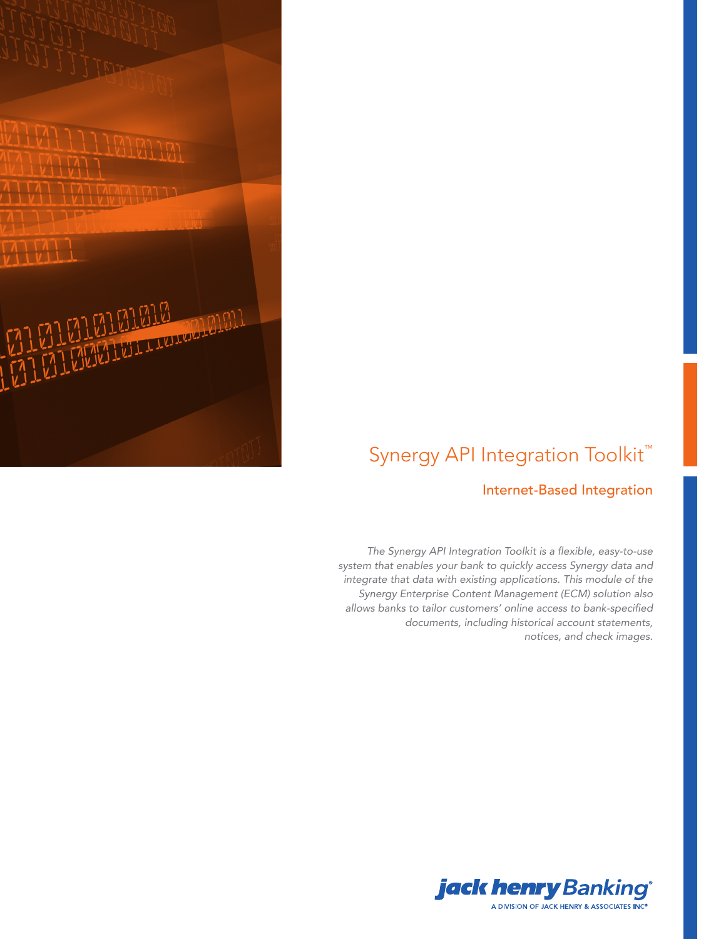

# Synergy API Integration Toolkit<sup>™</sup>

### Internet-Based Integration

The Synergy API Integration Toolkit is a flexible, easy-to-use system that enables your bank to quickly access Synergy data and integrate that data with existing applications. This module of the Synergy Enterprise Content Management (ECM) solution also allows banks to tailor customers' online access to bank-specified documents, including historical account statements, notices, and check images.